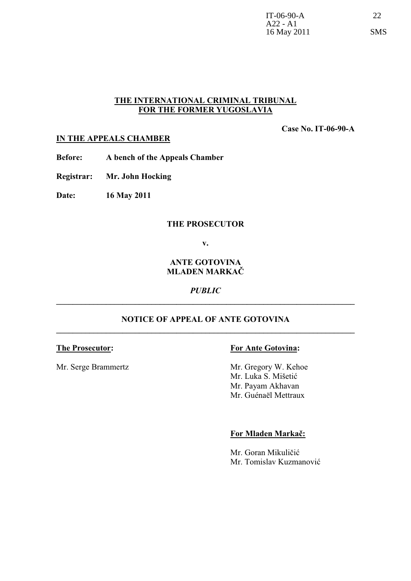# **THE INTERNATIONAL CRIMINAL TRIBUNAL FOR THE FORMER YUGOSLAVIA**

**Case No. IT-06-90-A**

## **IN THE APPEALS CHAMBER**

**Before: A bench of the Appeals Chamber**

**Registrar: Mr. John Hocking**

**Date: 16 May 2011**

### **THE PROSECUTOR**

**v.**

## **ANTE GOTOVINA MLADEN MARKAČ**

*PUBLIC* **\_\_\_\_\_\_\_\_\_\_\_\_\_\_\_\_\_\_\_\_\_\_\_\_\_\_\_\_\_\_\_\_\_\_\_\_\_\_\_\_\_\_\_\_\_\_\_\_\_\_\_\_\_\_\_\_\_\_\_\_\_\_\_\_\_\_\_\_\_\_\_\_**

## **NOTICE OF APPEAL OF ANTE GOTOVINA \_\_\_\_\_\_\_\_\_\_\_\_\_\_\_\_\_\_\_\_\_\_\_\_\_\_\_\_\_\_\_\_\_\_\_\_\_\_\_\_\_\_\_\_\_\_\_\_\_\_\_\_\_\_\_\_\_\_\_\_\_\_\_\_\_\_\_\_\_\_\_\_**

Mr. Serge Brammertz Mr. Gregory W. Kehoe

## **The Prosecutor: For Ante Gotovina:**

Mr. Luka S. Mišetić Mr. Payam Akhavan Mr. Guénaël Mettraux

#### **For Mladen Markač:**

Mr. Goran Mikuličić Mr. Tomislav Kuzmanović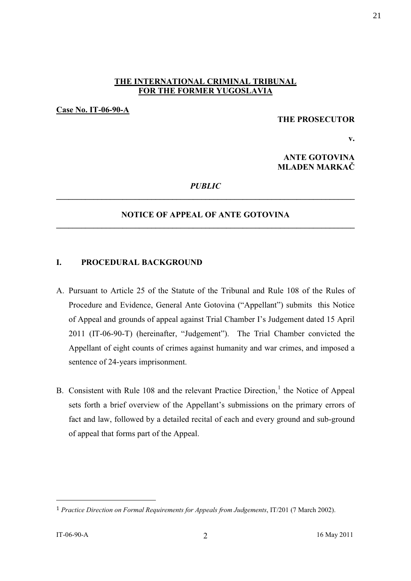## **THE INTERNATIONAL CRIMINAL TRIBUNAL FOR THE FORMER YUGOSLAVIA**

**Case No. IT-06-90-A**

#### **THE PROSECUTOR**

**v.**

**ANTE GOTOVINA MLADEN MARKAČ** 

## *PUBLIC* **\_\_\_\_\_\_\_\_\_\_\_\_\_\_\_\_\_\_\_\_\_\_\_\_\_\_\_\_\_\_\_\_\_\_\_\_\_\_\_\_\_\_\_\_\_\_\_\_\_\_\_\_\_\_\_\_\_\_\_\_\_\_\_\_\_\_\_\_\_\_\_\_**

## **NOTICE OF APPEAL OF ANTE GOTOVINA \_\_\_\_\_\_\_\_\_\_\_\_\_\_\_\_\_\_\_\_\_\_\_\_\_\_\_\_\_\_\_\_\_\_\_\_\_\_\_\_\_\_\_\_\_\_\_\_\_\_\_\_\_\_\_\_\_\_\_\_\_\_\_\_\_\_\_\_\_\_\_\_**

#### **I. PROCEDURAL BACKGROUND**

- A. Pursuant to Article 25 of the Statute of the Tribunal and Rule 108 of the Rules of Procedure and Evidence, General Ante Gotovina ("Appellant") submits this Notice of Appeal and grounds of appeal against Trial Chamber I's Judgement dated 15 April 2011 (IT-06-90-T) (hereinafter, "Judgement"). The Trial Chamber convicted the Appellant of eight counts of crimes against humanity and war crimes, and imposed a sentence of 24-years imprisonment.
- B. Consistent with Rule 108 and the relevant Practice Direction,<sup>1</sup> the Notice of Appeal sets forth a brief overview of the Appellant's submissions on the primary errors of fact and law, followed by a detailed recital of each and every ground and sub-ground of appeal that forms part of the Appeal.

<sup>1</sup> *Practice Direction on Formal Requirements for Appeals from Judgements*, IT/201 (7 March 2002).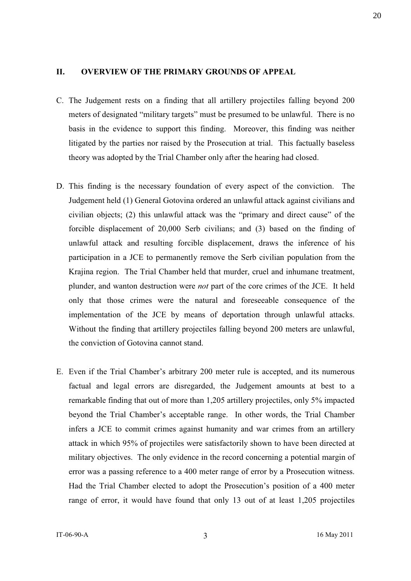## **II. OVERVIEW OF THE PRIMARY GROUNDS OF APPEAL**

- C. The Judgement rests on a finding that all artillery projectiles falling beyond 200 meters of designated "military targets" must be presumed to be unlawful. There is no basis in the evidence to support this finding. Moreover, this finding was neither litigated by the parties nor raised by the Prosecution at trial. This factually baseless theory was adopted by the Trial Chamber only after the hearing had closed.
- D. This finding is the necessary foundation of every aspect of the conviction. The Judgement held (1) General Gotovina ordered an unlawful attack against civilians and civilian objects; (2) this unlawful attack was the "primary and direct cause" of the forcible displacement of 20,000 Serb civilians; and (3) based on the finding of unlawful attack and resulting forcible displacement, draws the inference of his participation in a JCE to permanently remove the Serb civilian population from the Krajina region. The Trial Chamber held that murder, cruel and inhumane treatment, plunder, and wanton destruction were *not* part of the core crimes of the JCE. It held only that those crimes were the natural and foreseeable consequence of the implementation of the JCE by means of deportation through unlawful attacks. Without the finding that artillery projectiles falling beyond 200 meters are unlawful, the conviction of Gotovina cannot stand.
- E. Even if the Trial Chamber's arbitrary 200 meter rule is accepted, and its numerous factual and legal errors are disregarded, the Judgement amounts at best to a remarkable finding that out of more than 1,205 artillery projectiles, only 5% impacted beyond the Trial Chamber's acceptable range. In other words, the Trial Chamber infers a JCE to commit crimes against humanity and war crimes from an artillery attack in which 95% of projectiles were satisfactorily shown to have been directed at military objectives. The only evidence in the record concerning a potential margin of error was a passing reference to a 400 meter range of error by a Prosecution witness. Had the Trial Chamber elected to adopt the Prosecution's position of a 400 meter range of error, it would have found that only 13 out of at least 1,205 projectiles

20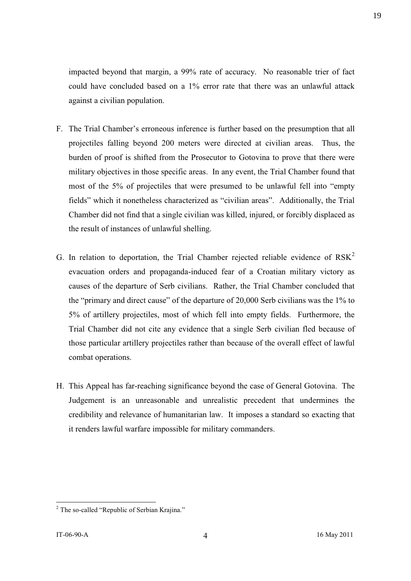impacted beyond that margin, a 99% rate of accuracy. No reasonable trier of fact could have concluded based on a 1% error rate that there was an unlawful attack against a civilian population.

- F. The Trial Chamber's erroneous inference is further based on the presumption that all projectiles falling beyond 200 meters were directed at civilian areas. Thus, the burden of proof is shifted from the Prosecutor to Gotovina to prove that there were military objectives in those specific areas. In any event, the Trial Chamber found that most of the 5% of projectiles that were presumed to be unlawful fell into "empty fields" which it nonetheless characterized as "civilian areas". Additionally, the Trial Chamber did not find that a single civilian was killed, injured, or forcibly displaced as the result of instances of unlawful shelling.
- G. In relation to deportation, the Trial Chamber rejected reliable evidence of  $RSK<sup>2</sup>$ evacuation orders and propaganda-induced fear of a Croatian military victory as causes of the departure of Serb civilians. Rather, the Trial Chamber concluded that the "primary and direct cause" of the departure of 20,000 Serb civilians was the 1% to 5% of artillery projectiles, most of which fell into empty fields. Furthermore, the Trial Chamber did not cite any evidence that a single Serb civilian fled because of those particular artillery projectiles rather than because of the overall effect of lawful combat operations.
- H. This Appeal has far-reaching significance beyond the case of General Gotovina. The Judgement is an unreasonable and unrealistic precedent that undermines the credibility and relevance of humanitarian law. It imposes a standard so exacting that it renders lawful warfare impossible for military commanders.

<sup>&</sup>lt;sup>2</sup> The so-called "Republic of Serbian Kraiina."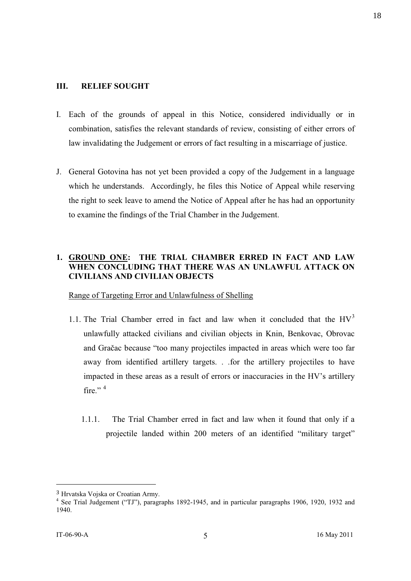### **III. RELIEF SOUGHT**

- I. Each of the grounds of appeal in this Notice, considered individually or in combination, satisfies the relevant standards of review, consisting of either errors of law invalidating the Judgement or errors of fact resulting in a miscarriage of justice.
- J. General Gotovina has not yet been provided a copy of the Judgement in a language which he understands. Accordingly, he files this Notice of Appeal while reserving the right to seek leave to amend the Notice of Appeal after he has had an opportunity to examine the findings of the Trial Chamber in the Judgement.

# **1. GROUND ONE: THE TRIAL CHAMBER ERRED IN FACT AND LAW WHEN CONCLUDING THAT THERE WAS AN UNLAWFUL ATTACK ON CIVILIANS AND CIVILIAN OBJECTS**

Range of Targeting Error and Unlawfulness of Shelling

- 1.1. The Trial Chamber erred in fact and law when it concluded that the  $HV<sup>3</sup>$ unlawfully attacked civilians and civilian objects in Knin, Benkovac, Obrovac and Gračac because "too many projectiles impacted in areas which were too far away from identified artillery targets. . .for the artillery projectiles to have impacted in these areas as a result of errors or inaccuracies in the HV's artillery fire." $4$ 
	- 1.1.1. The Trial Chamber erred in fact and law when it found that only if a projectile landed within 200 meters of an identified "military target"

<sup>3</sup> Hrvatska Vojska or Croatian Army.

<sup>&</sup>lt;sup>4</sup> See Trial Judgement ("TJ"), paragraphs 1892-1945, and in particular paragraphs 1906, 1920, 1932 and 1940.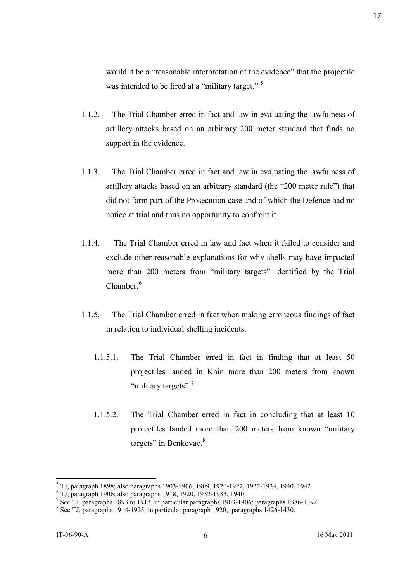would it be a "reasonable interpretation of the evidence" that the projectile was intended to be fired at a "military target." <sup>5</sup>

- 1.1.2. The Trial Chamber erred in fact and law in evaluating the lawfulness of artillery attacks based on an arbitrary 200 meter standard that finds no support in the evidence.
- 1.1.3. The Trial Chamber erred in fact and law in evaluating the lawfulness of artillery attacks based on an arbitrary standard (the "200 meter rule") that did not form part of the Prosecution case and of which the Defence had no notice at trial and thus no opportunity to confront it.
- 1.1.4. The Trial Chamber erred in law and fact when it failed to consider and exclude other reasonable explanations for why shells may have impacted more than 200 meters from "military targets" identified by the Trial  $Chamber<sup>6</sup>$
- 1.1.5. The Trial Chamber erred in fact when making erroneous findings of fact in relation to individual shelling incidents.
	- 1.1.5.1. The Trial Chamber erred in fact in finding that at least 50 projectiles landed in Knin more than 200 meters from known "military targets".<sup>7</sup>
	- 1.1.5.2. The Trial Chamber erred in fact in concluding that at least 10 projectiles landed more than 200 meters from known "military targets" in Benkovac.<sup>8</sup>

<sup>5</sup> TJ, paragraph 1898; also paragraphs 1903-1906, 1909, 1920-1922, 1932-1934, 1940, 1942.

<sup>6</sup> TJ, paragraph 1906; also paragraphs 1918, 1920, 1932-1933, 1940.

<sup>&</sup>lt;sup>7</sup> See TJ, paragraphs 1893 to 1913, in particular paragraphs 1903-1906; paragraphs 1386-1392.

<sup>&</sup>lt;sup>8</sup> See TJ, paragraphs 1914-1925, in particular paragraph 1920; paragraphs 1426-1430.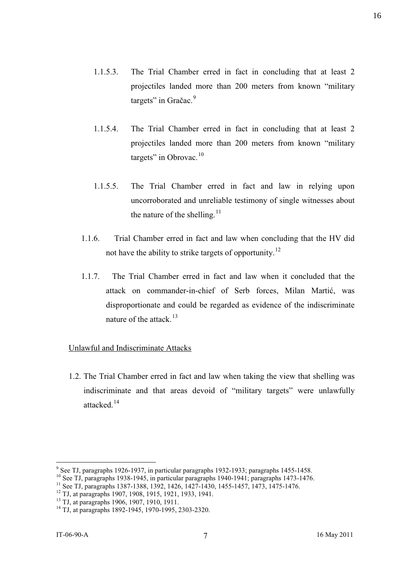- 1.1.5.3. The Trial Chamber erred in fact in concluding that at least 2 projectiles landed more than 200 meters from known "military targets" in Gračac. $9$
- 1.1.5.4. The Trial Chamber erred in fact in concluding that at least 2 projectiles landed more than 200 meters from known "military targets" in Obrovac.<sup>10</sup>
- 1.1.5.5. The Trial Chamber erred in fact and law in relying upon uncorroborated and unreliable testimony of single witnesses about the nature of the shelling. $^{11}$
- 1.1.6. Trial Chamber erred in fact and law when concluding that the HV did not have the ability to strike targets of opportunity.<sup>12</sup>
- 1.1.7. The Trial Chamber erred in fact and law when it concluded that the attack on commander-in-chief of Serb forces, Milan Martić, was disproportionate and could be regarded as evidence of the indiscriminate nature of the attack. $13$

# Unlawful and Indiscriminate Attacks

1.2. The Trial Chamber erred in fact and law when taking the view that shelling was indiscriminate and that areas devoid of "military targets" were unlawfully attacked<sup>14</sup>

<sup>&</sup>lt;sup>9</sup> See TJ, paragraphs 1926-1937, in particular paragraphs 1932-1933; paragraphs 1455-1458.

<sup>&</sup>lt;sup>10</sup> See TJ, paragraphs 1938-1945, in particular paragraphs 1940-1941; paragraphs 1473-1476.

<sup>11</sup> See TJ, paragraphs 1387-1388, 1392, 1426, 1427-1430, 1455-1457, 1473, 1475-1476.

<sup>&</sup>lt;sup>12</sup> TJ, at paragraphs 1907, 1908, 1915, 1921, 1933, 1941.

<sup>13</sup> TJ, at paragraphs 1906, 1907, 1910, 1911.

<sup>14</sup> TJ, at paragraphs 1892-1945, 1970-1995, 2303-2320.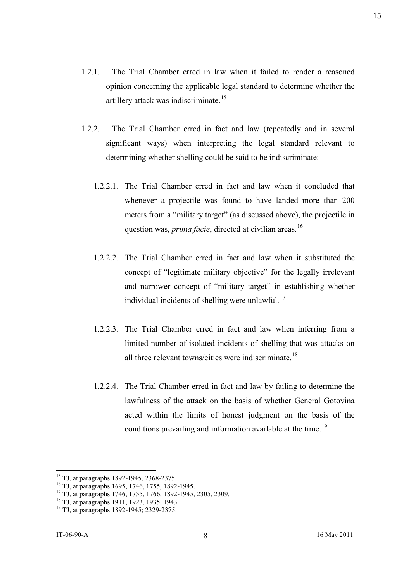- 1.2.1. The Trial Chamber erred in law when it failed to render a reasoned opinion concerning the applicable legal standard to determine whether the artillery attack was indiscriminate.<sup>15</sup>
- 1.2.2. The Trial Chamber erred in fact and law (repeatedly and in several significant ways) when interpreting the legal standard relevant to determining whether shelling could be said to be indiscriminate:
	- 1.2.2.1. The Trial Chamber erred in fact and law when it concluded that whenever a projectile was found to have landed more than 200 meters from a "military target" (as discussed above), the projectile in question was, *prima facie*, directed at civilian areas.<sup>16</sup>
	- 1.2.2.2. The Trial Chamber erred in fact and law when it substituted the concept of "legitimate military objective" for the legally irrelevant and narrower concept of "military target" in establishing whether individual incidents of shelling were unlawful. $17$
	- 1.2.2.3. The Trial Chamber erred in fact and law when inferring from a limited number of isolated incidents of shelling that was attacks on all three relevant towns/cities were indiscriminate.<sup>18</sup>
	- 1.2.2.4. The Trial Chamber erred in fact and law by failing to determine the lawfulness of the attack on the basis of whether General Gotovina acted within the limits of honest judgment on the basis of the conditions prevailing and information available at the time.<sup>19</sup>

<sup>&</sup>lt;sup>15</sup> TJ, at paragraphs 1892-1945, 2368-2375.

<sup>16</sup> TJ, at paragraphs 1695, 1746, 1755, 1892-1945.

<sup>17</sup> TJ, at paragraphs 1746, 1755, 1766, 1892-1945, 2305, 2309.

<sup>18</sup> TJ, at paragraphs 1911, 1923, 1935, 1943.

<sup>19</sup> TJ, at paragraphs 1892-1945; 2329-2375.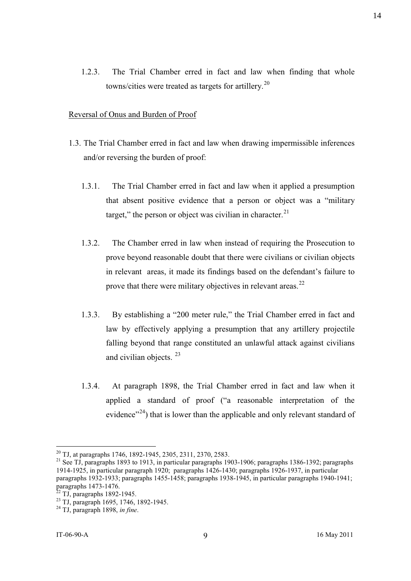1.2.3. The Trial Chamber erred in fact and law when finding that whole towns/cities were treated as targets for artillery.<sup>20</sup>

#### Reversal of Onus and Burden of Proof

- 1.3. The Trial Chamber erred in fact and law when drawing impermissible inferences and/or reversing the burden of proof:
	- 1.3.1. The Trial Chamber erred in fact and law when it applied a presumption that absent positive evidence that a person or object was a "military target," the person or object was civilian in character. $^{21}$
	- 1.3.2. The Chamber erred in law when instead of requiring the Prosecution to prove beyond reasonable doubt that there were civilians or civilian objects in relevant areas, it made its findings based on the defendant's failure to prove that there were military objectives in relevant areas. $^{22}$
	- 1.3.3. By establishing a "200 meter rule," the Trial Chamber erred in fact and law by effectively applying a presumption that any artillery projectile falling beyond that range constituted an unlawful attack against civilians and civilian objects.<sup>23</sup>
	- 1.3.4. At paragraph 1898, the Trial Chamber erred in fact and law when it applied a standard of proof ("a reasonable interpretation of the evidence"<sup>24</sup>) that is lower than the applicable and only relevant standard of

<sup>&</sup>lt;sup>20</sup> TJ, at paragraphs 1746, 1892-1945, 2305, 2311, 2370, 2583.

<sup>21</sup> See TJ, paragraphs 1893 to 1913, in particular paragraphs 1903-1906; paragraphs 1386-1392; paragraphs 1914-1925, in particular paragraph 1920; paragraphs 1426-1430; paragraphs 1926-1937, in particular paragraphs 1932-1933; paragraphs 1455-1458; paragraphs 1938-1945, in particular paragraphs 1940-1941; paragraphs 1473-1476.

 $22$  TJ, paragraphs 1892-1945.

<sup>23</sup> TJ, paragraph 1695, 1746, 1892-1945.

<sup>24</sup> TJ, paragraph 1898, *in fine*.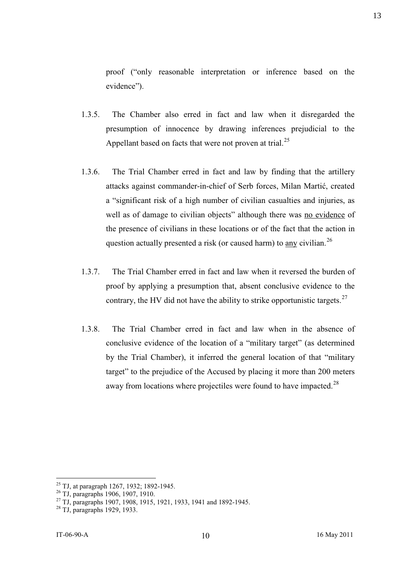proof ("only reasonable interpretation or inference based on the evidence").

- 1.3.5. The Chamber also erred in fact and law when it disregarded the presumption of innocence by drawing inferences prejudicial to the Appellant based on facts that were not proven at trial.<sup>25</sup>
- 1.3.6. The Trial Chamber erred in fact and law by finding that the artillery attacks against commander-in-chief of Serb forces, Milan Martić, created a "significant risk of a high number of civilian casualties and injuries, as well as of damage to civilian objects" although there was no evidence of the presence of civilians in these locations or of the fact that the action in question actually presented a risk (or caused harm) to any civilian.<sup>26</sup>
- 1.3.7. The Trial Chamber erred in fact and law when it reversed the burden of proof by applying a presumption that, absent conclusive evidence to the contrary, the HV did not have the ability to strike opportunistic targets.<sup>27</sup>
- 1.3.8. The Trial Chamber erred in fact and law when in the absence of conclusive evidence of the location of a "military target" (as determined by the Trial Chamber), it inferred the general location of that "military target" to the prejudice of the Accused by placing it more than 200 meters away from locations where projectiles were found to have impacted.<sup>28</sup>

<sup>&</sup>lt;sup>25</sup> TJ, at paragraph 1267, 1932; 1892-1945.

<sup>26</sup> TJ, paragraphs 1906, 1907, 1910.

<sup>&</sup>lt;sup>27</sup> TJ, paragraphs 1907, 1908, 1915, 1921, 1933, 1941 and 1892-1945.

<sup>28</sup> TJ, paragraphs 1929, 1933.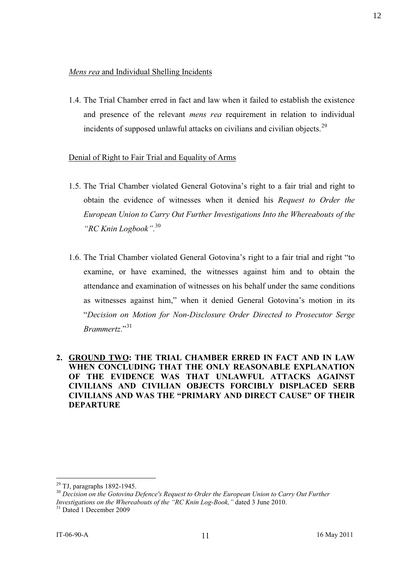1.4. The Trial Chamber erred in fact and law when it failed to establish the existence and presence of the relevant *mens rea* requirement in relation to individual incidents of supposed unlawful attacks on civilians and civilian objects.<sup>29</sup>

# Denial of Right to Fair Trial and Equality of Arms

- 1.5. The Trial Chamber violated General Gotovina's right to a fair trial and right to obtain the evidence of witnesses when it denied his *Request to Order the European Union to Carry Out Further Investigations Into the Whereabouts of the "RC Knin Logbook"*. 30
- 1.6. The Trial Chamber violated General Gotovina's right to a fair trial and right "to examine, or have examined, the witnesses against him and to obtain the attendance and examination of witnesses on his behalf under the same conditions as witnesses against him," when it denied General Gotovina's motion in its "*Decision on Motion for Non-Disclosure Order Directed to Prosecutor Serge Brammertz*."<sup>31</sup>
- **2. GROUND TWO: THE TRIAL CHAMBER ERRED IN FACT AND IN LAW WHEN CONCLUDING THAT THE ONLY REASONABLE EXPLANATION OF THE EVIDENCE WAS THAT UNLAWFUL ATTACKS AGAINST CIVILIANS AND CIVILIAN OBJECTS FORCIBLY DISPLACED SERB CIVILIANS AND WAS THE "PRIMARY AND DIRECT CAUSE" OF THEIR DEPARTURE**

 $29$  TJ, paragraphs 1892-1945.

<sup>&</sup>lt;sup>30</sup> Decision on the Gotovina Defence's Request to Order the European Union to Carry Out Further *Investigations on the Whereabouts of the "RC Knin Log-Book,"* dated 3 June 2010.

<sup>&</sup>lt;sup>31</sup> Dated 1 December 2009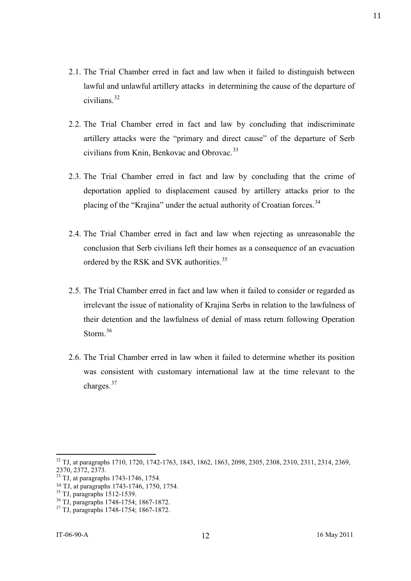- 2.1. The Trial Chamber erred in fact and law when it failed to distinguish between lawful and unlawful artillery attacks in determining the cause of the departure of civilians.<sup>32</sup>
- 2.2. The Trial Chamber erred in fact and law by concluding that indiscriminate artillery attacks were the "primary and direct cause" of the departure of Serb civilians from Knin, Benkovac and Obrovac.<sup>33</sup>
- 2.3. The Trial Chamber erred in fact and law by concluding that the crime of deportation applied to displacement caused by artillery attacks prior to the placing of the "Krajina" under the actual authority of Croatian forces.<sup>34</sup>
- 2.4. The Trial Chamber erred in fact and law when rejecting as unreasonable the conclusion that Serb civilians left their homes as a consequence of an evacuation ordered by the RSK and SVK authorities.<sup>35</sup>
- 2.5. The Trial Chamber erred in fact and law when it failed to consider or regarded as irrelevant the issue of nationality of Krajina Serbs in relation to the lawfulness of their detention and the lawfulness of denial of mass return following Operation Storm.<sup>36</sup>
- 2.6. The Trial Chamber erred in law when it failed to determine whether its position was consistent with customary international law at the time relevant to the charges.<sup>37</sup>

<sup>32</sup> TJ, at paragraphs 1710, 1720, 1742-1763, 1843, 1862, 1863, 2098, 2305, 2308, 2310, 2311, 2314, 2369, 2370, 2372, 2373.

<sup>&</sup>lt;sup>33</sup> TJ, at paragraphs 1743-1746, 1754.

<sup>34</sup> TJ, at paragraphs 1743-1746, 1750, 1754.

<sup>35</sup> TJ, paragraphs 1512-1539.

<sup>36</sup> TJ, paragraphs 1748-1754; 1867-1872.

<sup>37</sup> TJ, paragraphs 1748-1754; 1867-1872.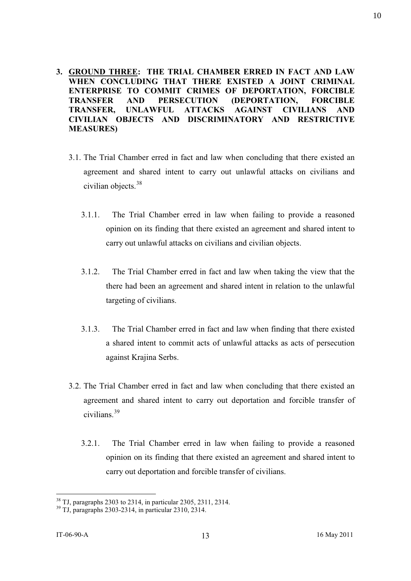- **3. GROUND THREE: THE TRIAL CHAMBER ERRED IN FACT AND LAW WHEN CONCLUDING THAT THERE EXISTED A JOINT CRIMINAL ENTERPRISE TO COMMIT CRIMES OF DEPORTATION, FORCIBLE TRANSFER AND PERSECUTION (DEPORTATION, FORCIBLE TRANSFER, UNLAWFUL ATTACKS AGAINST CIVILIANS AND CIVILIAN OBJECTS AND DISCRIMINATORY AND RESTRICTIVE MEASURES)**
	- 3.1. The Trial Chamber erred in fact and law when concluding that there existed an agreement and shared intent to carry out unlawful attacks on civilians and civilian objects.<sup>38</sup>
		- 3.1.1. The Trial Chamber erred in law when failing to provide a reasoned opinion on its finding that there existed an agreement and shared intent to carry out unlawful attacks on civilians and civilian objects.
		- 3.1.2. The Trial Chamber erred in fact and law when taking the view that the there had been an agreement and shared intent in relation to the unlawful targeting of civilians.
		- 3.1.3. The Trial Chamber erred in fact and law when finding that there existed a shared intent to commit acts of unlawful attacks as acts of persecution against Krajina Serbs.
	- 3.2. The Trial Chamber erred in fact and law when concluding that there existed an agreement and shared intent to carry out deportation and forcible transfer of civilians.<sup>39</sup>
		- 3.2.1. The Trial Chamber erred in law when failing to provide a reasoned opinion on its finding that there existed an agreement and shared intent to carry out deportation and forcible transfer of civilians.

<sup>38</sup> TJ, paragraphs 2303 to 2314, in particular 2305, 2311, 2314.

 $39$  TJ, paragraphs 2303-2314, in particular 2310, 2314.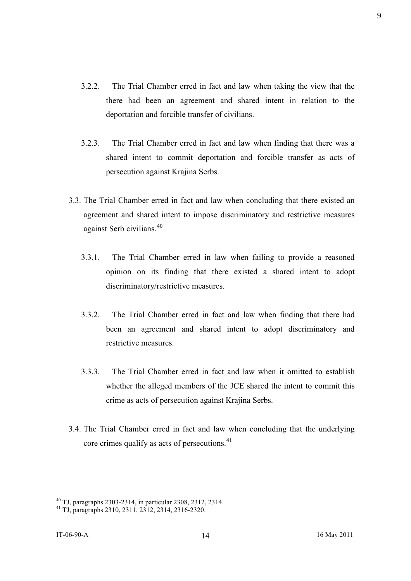- 3.2.2. The Trial Chamber erred in fact and law when taking the view that the there had been an agreement and shared intent in relation to the deportation and forcible transfer of civilians.
- 3.2.3. The Trial Chamber erred in fact and law when finding that there was a shared intent to commit deportation and forcible transfer as acts of persecution against Krajina Serbs.
- 3.3. The Trial Chamber erred in fact and law when concluding that there existed an agreement and shared intent to impose discriminatory and restrictive measures against Serb civilians.<sup>40</sup>
	- 3.3.1. The Trial Chamber erred in law when failing to provide a reasoned opinion on its finding that there existed a shared intent to adopt discriminatory/restrictive measures.
	- 3.3.2. The Trial Chamber erred in fact and law when finding that there had been an agreement and shared intent to adopt discriminatory and restrictive measures.
	- 3.3.3. The Trial Chamber erred in fact and law when it omitted to establish whether the alleged members of the JCE shared the intent to commit this crime as acts of persecution against Krajina Serbs.
- 3.4. The Trial Chamber erred in fact and law when concluding that the underlying core crimes qualify as acts of persecutions.<sup>41</sup>

<sup>40</sup> TJ, paragraphs 2303-2314, in particular 2308, 2312, 2314.

<sup>41</sup> TJ, paragraphs 2310, 2311, 2312, 2314, 2316-2320.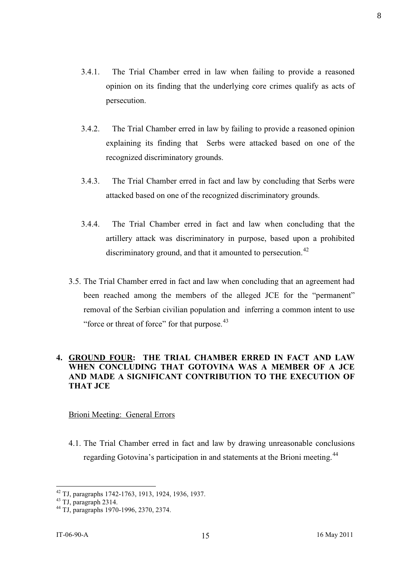- 3.4.1. The Trial Chamber erred in law when failing to provide a reasoned opinion on its finding that the underlying core crimes qualify as acts of persecution.
- 3.4.2. The Trial Chamber erred in law by failing to provide a reasoned opinion explaining its finding that Serbs were attacked based on one of the recognized discriminatory grounds.
- 3.4.3. The Trial Chamber erred in fact and law by concluding that Serbs were attacked based on one of the recognized discriminatory grounds.
- 3.4.4. The Trial Chamber erred in fact and law when concluding that the artillery attack was discriminatory in purpose, based upon a prohibited discriminatory ground, and that it amounted to persecution.<sup>42</sup>
- 3.5. The Trial Chamber erred in fact and law when concluding that an agreement had been reached among the members of the alleged JCE for the "permanent" removal of the Serbian civilian population and inferring a common intent to use "force or threat of force" for that purpose.<sup>43</sup>

# **4. GROUND FOUR: THE TRIAL CHAMBER ERRED IN FACT AND LAW WHEN CONCLUDING THAT GOTOVINA WAS A MEMBER OF A JCE AND MADE A SIGNIFICANT CONTRIBUTION TO THE EXECUTION OF THAT JCE**

#### Brioni Meeting: General Errors

4.1. The Trial Chamber erred in fact and law by drawing unreasonable conclusions regarding Gotovina's participation in and statements at the Brioni meeting.<sup>44</sup>

<sup>42</sup> TJ, paragraphs 1742-1763, 1913, 1924, 1936, 1937.

 $43$  TJ, paragraph 2314.

<sup>44</sup> TJ, paragraphs 1970-1996, 2370, 2374.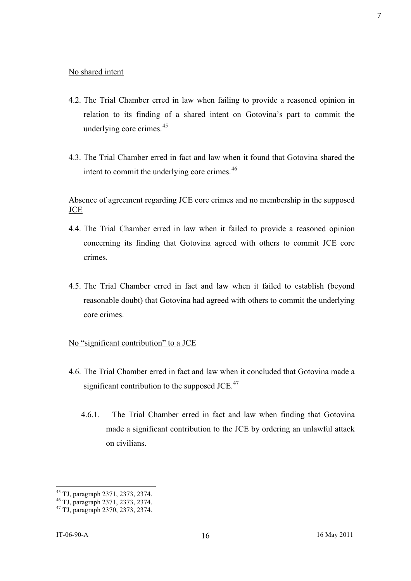#### No shared intent

- 4.2. The Trial Chamber erred in law when failing to provide a reasoned opinion in relation to its finding of a shared intent on Gotovina's part to commit the underlying core crimes.<sup>45</sup>
- 4.3. The Trial Chamber erred in fact and law when it found that Gotovina shared the intent to commit the underlying core crimes.<sup>46</sup>

# Absence of agreement regarding JCE core crimes and no membership in the supposed **JCE**

- 4.4. The Trial Chamber erred in law when it failed to provide a reasoned opinion concerning its finding that Gotovina agreed with others to commit JCE core crimes.
- 4.5. The Trial Chamber erred in fact and law when it failed to establish (beyond reasonable doubt) that Gotovina had agreed with others to commit the underlying core crimes.

#### No "significant contribution" to a JCE

- 4.6. The Trial Chamber erred in fact and law when it concluded that Gotovina made a significant contribution to the supposed JCE. $47$ 
	- 4.6.1. The Trial Chamber erred in fact and law when finding that Gotovina made a significant contribution to the JCE by ordering an unlawful attack on civilians.

<sup>45</sup> TJ, paragraph 2371, 2373, 2374.

<sup>46</sup> TJ, paragraph 2371, 2373, 2374.

<sup>47</sup> TJ, paragraph 2370, 2373, 2374.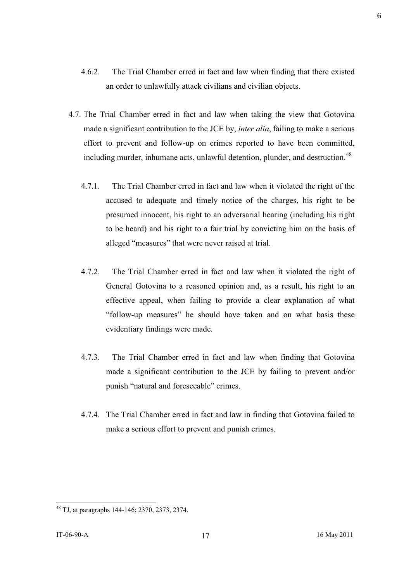- 4.6.2. The Trial Chamber erred in fact and law when finding that there existed an order to unlawfully attack civilians and civilian objects.
- 4.7. The Trial Chamber erred in fact and law when taking the view that Gotovina made a significant contribution to the JCE by, *inter alia*, failing to make a serious effort to prevent and follow-up on crimes reported to have been committed, including murder, inhumane acts, unlawful detention, plunder, and destruction.<sup>48</sup>
	- 4.7.1. The Trial Chamber erred in fact and law when it violated the right of the accused to adequate and timely notice of the charges, his right to be presumed innocent, his right to an adversarial hearing (including his right to be heard) and his right to a fair trial by convicting him on the basis of alleged "measures" that were never raised at trial.
	- 4.7.2. The Trial Chamber erred in fact and law when it violated the right of General Gotovina to a reasoned opinion and, as a result, his right to an effective appeal, when failing to provide a clear explanation of what "follow-up measures" he should have taken and on what basis these evidentiary findings were made.
	- 4.7.3. The Trial Chamber erred in fact and law when finding that Gotovina made a significant contribution to the JCE by failing to prevent and/or punish "natural and foreseeable" crimes.
	- 4.7.4. The Trial Chamber erred in fact and law in finding that Gotovina failed to make a serious effort to prevent and punish crimes.

6

<sup>48</sup> TJ, at paragraphs 144-146; 2370, 2373, 2374.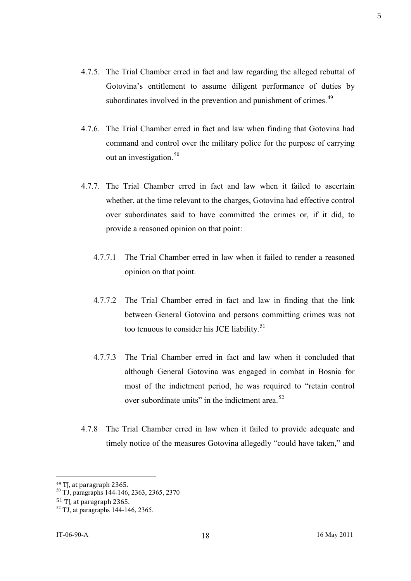- 4.7.5. The Trial Chamber erred in fact and law regarding the alleged rebuttal of Gotovina's entitlement to assume diligent performance of duties by subordinates involved in the prevention and punishment of crimes.<sup>49</sup>
- 4.7.6. The Trial Chamber erred in fact and law when finding that Gotovina had command and control over the military police for the purpose of carrying out an investigation.<sup>50</sup>
- 4.7.7. The Trial Chamber erred in fact and law when it failed to ascertain whether, at the time relevant to the charges, Gotovina had effective control over subordinates said to have committed the crimes or, if it did, to provide a reasoned opinion on that point:
	- 4.7.7.1 The Trial Chamber erred in law when it failed to render a reasoned opinion on that point.
	- 4.7.7.2 The Trial Chamber erred in fact and law in finding that the link between General Gotovina and persons committing crimes was not too tenuous to consider his JCE liability.<sup>51</sup>
	- 4.7.7.3 The Trial Chamber erred in fact and law when it concluded that although General Gotovina was engaged in combat in Bosnia for most of the indictment period, he was required to "retain control over subordinate units" in the indictment area.<sup>52</sup>
- 4.7.8 The Trial Chamber erred in law when it failed to provide adequate and timely notice of the measures Gotovina allegedly "could have taken," and

<sup>49</sup> TJ, at paragraph 2365.

<sup>50</sup> TJ, paragraphs 144-146, 2363, 2365, 2370

<sup>51</sup> TJ, at paragraph 2365.

 $52$  TJ, at paragraphs 144-146, 2365.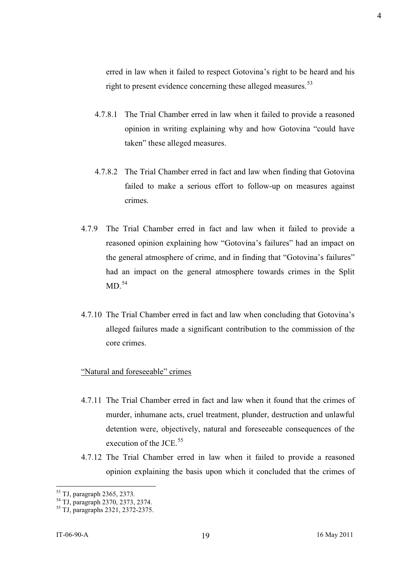erred in law when it failed to respect Gotovina's right to be heard and his right to present evidence concerning these alleged measures.<sup>53</sup>

- 4.7.8.1 The Trial Chamber erred in law when it failed to provide a reasoned opinion in writing explaining why and how Gotovina "could have taken" these alleged measures.
- 4.7.8.2 The Trial Chamber erred in fact and law when finding that Gotovina failed to make a serious effort to follow-up on measures against crimes.
- 4.7.9 The Trial Chamber erred in fact and law when it failed to provide a reasoned opinion explaining how "Gotovina's failures" had an impact on the general atmosphere of crime, and in finding that "Gotovina's failures" had an impact on the general atmosphere towards crimes in the Split  $MD<sup>.54</sup>$
- 4.7.10 The Trial Chamber erred in fact and law when concluding that Gotovina's alleged failures made a significant contribution to the commission of the core crimes.

#### "Natural and foreseeable" crimes

- 4.7.11 The Trial Chamber erred in fact and law when it found that the crimes of murder, inhumane acts, cruel treatment, plunder, destruction and unlawful detention were, objectively, natural and foreseeable consequences of the execution of the JCE.<sup>55</sup>
- 4.7.12 The Trial Chamber erred in law when it failed to provide a reasoned opinion explaining the basis upon which it concluded that the crimes of

<sup>53</sup> TJ, paragraph 2365, 2373.

<sup>54</sup> TJ, paragraph 2370, 2373, 2374.

<sup>55</sup> TJ, paragraphs 2321, 2372-2375.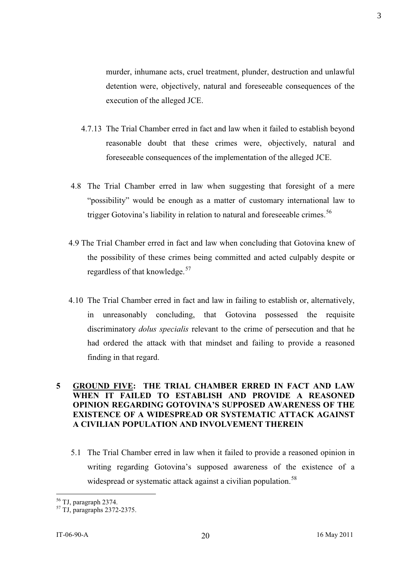murder, inhumane acts, cruel treatment, plunder, destruction and unlawful detention were, objectively, natural and foreseeable consequences of the execution of the alleged JCE.

- 4.7.13 The Trial Chamber erred in fact and law when it failed to establish beyond reasonable doubt that these crimes were, objectively, natural and foreseeable consequences of the implementation of the alleged JCE.
- 4.8 The Trial Chamber erred in law when suggesting that foresight of a mere "possibility" would be enough as a matter of customary international law to trigger Gotovina's liability in relation to natural and foreseeable crimes.<sup>56</sup>
- 4.9 The Trial Chamber erred in fact and law when concluding that Gotovina knew of the possibility of these crimes being committed and acted culpably despite or regardless of that knowledge.<sup>57</sup>
- 4.10 The Trial Chamber erred in fact and law in failing to establish or, alternatively, in unreasonably concluding, that Gotovina possessed the requisite discriminatory *dolus specialis* relevant to the crime of persecution and that he had ordered the attack with that mindset and failing to provide a reasoned finding in that regard.

# **5 GROUND FIVE: THE TRIAL CHAMBER ERRED IN FACT AND LAW WHEN IT FAILED TO ESTABLISH AND PROVIDE A REASONED OPINION REGARDING GOTOVINA'S SUPPOSED AWARENESS OF THE EXISTENCE OF A WIDESPREAD OR SYSTEMATIC ATTACK AGAINST A CIVILIAN POPULATION AND INVOLVEMENT THEREIN**

5.1 The Trial Chamber erred in law when it failed to provide a reasoned opinion in writing regarding Gotovina's supposed awareness of the existence of a widespread or systematic attack against a civilian population.<sup>58</sup>

<sup>56</sup> TJ, paragraph 2374.

<sup>57</sup> TJ, paragraphs 2372-2375.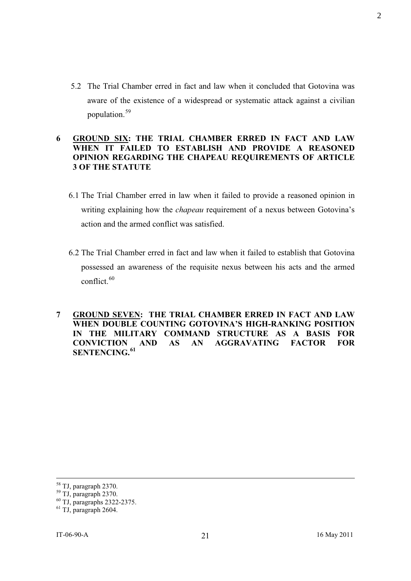5.2 The Trial Chamber erred in fact and law when it concluded that Gotovina was aware of the existence of a widespread or systematic attack against a civilian population.<sup>59</sup>

# **6 GROUND SIX: THE TRIAL CHAMBER ERRED IN FACT AND LAW WHEN IT FAILED TO ESTABLISH AND PROVIDE A REASONED OPINION REGARDING THE CHAPEAU REQUIREMENTS OF ARTICLE 3 OF THE STATUTE**

- 6.1 The Trial Chamber erred in law when it failed to provide a reasoned opinion in writing explaining how the *chapeau* requirement of a nexus between Gotovina's action and the armed conflict was satisfied.
- 6.2 The Trial Chamber erred in fact and law when it failed to establish that Gotovina possessed an awareness of the requisite nexus between his acts and the armed conflict. $60$

**7 GROUND SEVEN: THE TRIAL CHAMBER ERRED IN FACT AND LAW WHEN DOUBLE COUNTING GOTOVINA'S HIGH-RANKING POSITION IN THE MILITARY COMMAND STRUCTURE AS A BASIS FOR CONVICTION AND AS AN AGGRAVATING FACTOR FOR SENTENCING.<sup>61</sup>**

2

<sup>58</sup> TJ, paragraph 2370.

<sup>59</sup> TJ, paragraph 2370.

<sup>60</sup> TJ, paragraphs 2322-2375.

 $61$  TJ, paragraph 2604.